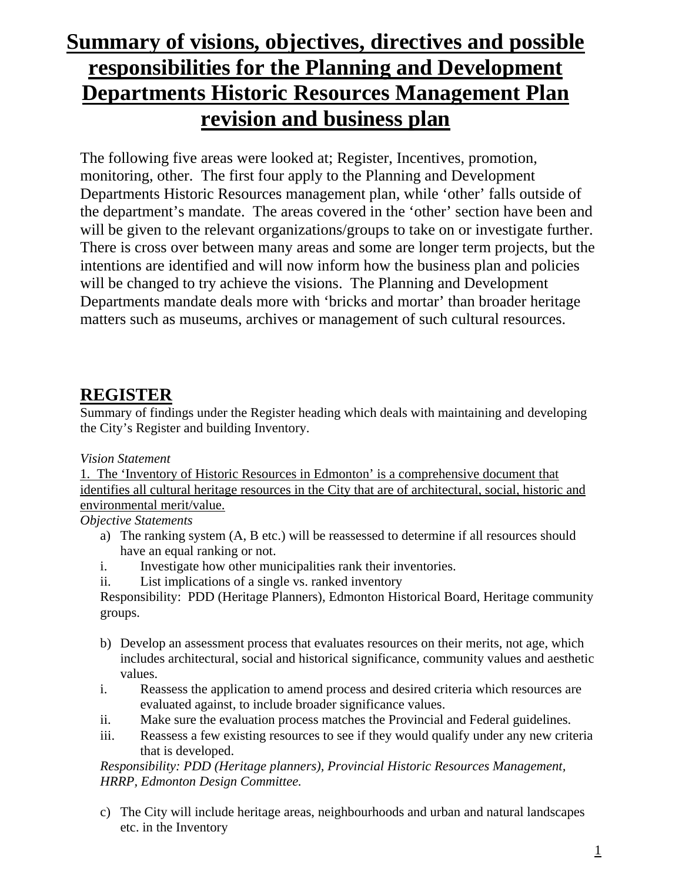# **Summary of visions, objectives, directives and possible responsibilities for the Planning and Development Departments Historic Resources Management Plan revision and business plan**

The following five areas were looked at; Register, Incentives, promotion, monitoring, other. The first four apply to the Planning and Development Departments Historic Resources management plan, while 'other' falls outside of the department's mandate. The areas covered in the 'other' section have been and will be given to the relevant organizations/groups to take on or investigate further. There is cross over between many areas and some are longer term projects, but the intentions are identified and will now inform how the business plan and policies will be changed to try achieve the visions. The Planning and Development Departments mandate deals more with 'bricks and mortar' than broader heritage matters such as museums, archives or management of such cultural resources.

### **REGISTER**

Summary of findings under the Register heading which deals with maintaining and developing the City's Register and building Inventory.

#### *Vision Statement*

1. The 'Inventory of Historic Resources in Edmonton' is a comprehensive document that identifies all cultural heritage resources in the City that are of architectural, social, historic and environmental merit/value.

#### *Objective Statements*

- a) The ranking system (A, B etc.) will be reassessed to determine if all resources should have an equal ranking or not.
- i. Investigate how other municipalities rank their inventories.
- ii. List implications of a single vs. ranked inventory

Responsibility: PDD (Heritage Planners), Edmonton Historical Board, Heritage community groups.

- b) Develop an assessment process that evaluates resources on their merits, not age, which includes architectural, social and historical significance, community values and aesthetic values.
- i. Reassess the application to amend process and desired criteria which resources are evaluated against, to include broader significance values.
- ii. Make sure the evaluation process matches the Provincial and Federal guidelines.
- iii. Reassess a few existing resources to see if they would qualify under any new criteria that is developed.

*Responsibility: PDD (Heritage planners), Provincial Historic Resources Management, HRRP, Edmonton Design Committee.* 

c) The City will include heritage areas, neighbourhoods and urban and natural landscapes etc. in the Inventory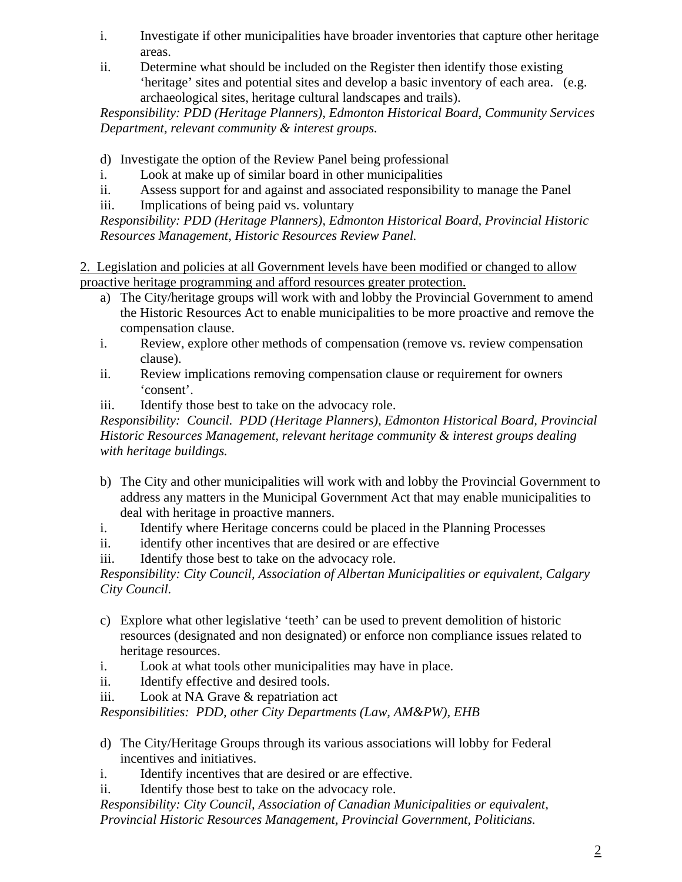- i. Investigate if other municipalities have broader inventories that capture other heritage areas.
- ii. Determine what should be included on the Register then identify those existing 'heritage' sites and potential sites and develop a basic inventory of each area. (e.g. archaeological sites, heritage cultural landscapes and trails).

*Responsibility: PDD (Heritage Planners), Edmonton Historical Board, Community Services Department, relevant community & interest groups.* 

- d) Investigate the option of the Review Panel being professional
- i. Look at make up of similar board in other municipalities
- ii. Assess support for and against and associated responsibility to manage the Panel
- iii. Implications of being paid vs. voluntary

*Responsibility: PDD (Heritage Planners), Edmonton Historical Board, Provincial Historic Resources Management, Historic Resources Review Panel.* 

2. Legislation and policies at all Government levels have been modified or changed to allow proactive heritage programming and afford resources greater protection.

- a) The City/heritage groups will work with and lobby the Provincial Government to amend the Historic Resources Act to enable municipalities to be more proactive and remove the compensation clause.
- i. Review, explore other methods of compensation (remove vs. review compensation clause).
- ii. Review implications removing compensation clause or requirement for owners 'consent'.
- iii. Identify those best to take on the advocacy role.

*Responsibility: Council. PDD (Heritage Planners), Edmonton Historical Board, Provincial Historic Resources Management, relevant heritage community & interest groups dealing with heritage buildings.* 

- b) The City and other municipalities will work with and lobby the Provincial Government to address any matters in the Municipal Government Act that may enable municipalities to deal with heritage in proactive manners.
- i. Identify where Heritage concerns could be placed in the Planning Processes
- ii. identify other incentives that are desired or are effective
- iii. Identify those best to take on the advocacy role.

*Responsibility: City Council, Association of Albertan Municipalities or equivalent, Calgary City Council.* 

- c) Explore what other legislative 'teeth' can be used to prevent demolition of historic resources (designated and non designated) or enforce non compliance issues related to heritage resources.
- i. Look at what tools other municipalities may have in place.
- ii. Identify effective and desired tools.
- iii. Look at NA Grave & repatriation act

*Responsibilities: PDD, other City Departments (Law, AM&PW), EHB* 

- d) The City/Heritage Groups through its various associations will lobby for Federal incentives and initiatives.
- i. Identify incentives that are desired or are effective.
- ii. Identify those best to take on the advocacy role.
- *Responsibility: City Council, Association of Canadian Municipalities or equivalent, Provincial Historic Resources Management, Provincial Government, Politicians.*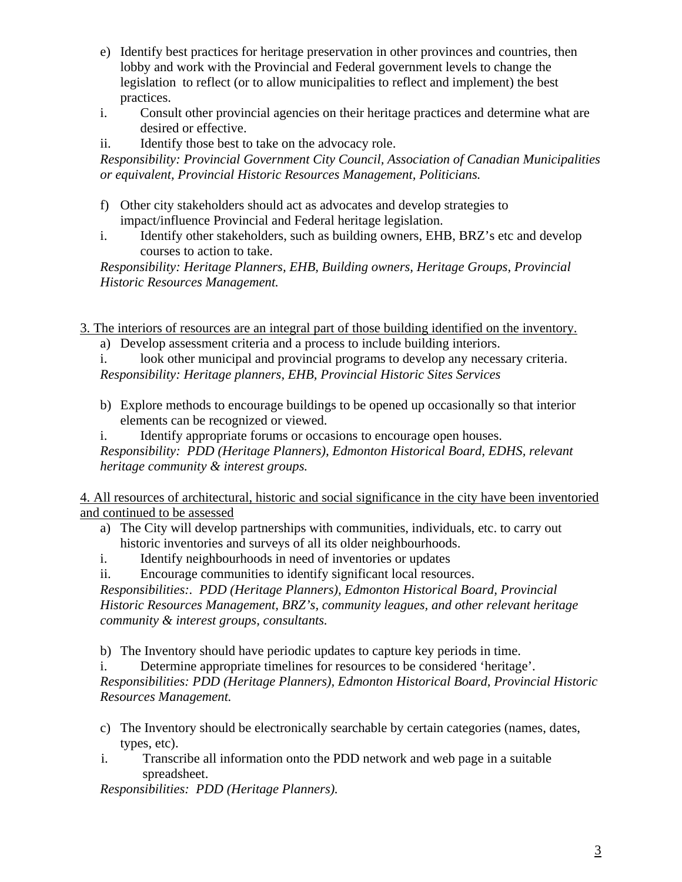- e) Identify best practices for heritage preservation in other provinces and countries, then lobby and work with the Provincial and Federal government levels to change the legislation to reflect (or to allow municipalities to reflect and implement) the best practices.
- i. Consult other provincial agencies on their heritage practices and determine what are desired or effective.
- ii. Identify those best to take on the advocacy role.

*Responsibility: Provincial Government City Council, Association of Canadian Municipalities or equivalent, Provincial Historic Resources Management, Politicians.* 

- f) Other city stakeholders should act as advocates and develop strategies to impact/influence Provincial and Federal heritage legislation.
- i. Identify other stakeholders, such as building owners, EHB, BRZ's etc and develop courses to action to take.

*Responsibility: Heritage Planners, EHB, Building owners, Heritage Groups, Provincial Historic Resources Management.* 

3. The interiors of resources are an integral part of those building identified on the inventory.

- a) Develop assessment criteria and a process to include building interiors.
- i. look other municipal and provincial programs to develop any necessary criteria.
- *Responsibility: Heritage planners, EHB, Provincial Historic Sites Services*
- b) Explore methods to encourage buildings to be opened up occasionally so that interior elements can be recognized or viewed.
- i. Identify appropriate forums or occasions to encourage open houses. *Responsibility: PDD (Heritage Planners), Edmonton Historical Board, EDHS, relevant heritage community & interest groups.*

4. All resources of architectural, historic and social significance in the city have been inventoried and continued to be assessed

- a) The City will develop partnerships with communities, individuals, etc. to carry out historic inventories and surveys of all its older neighbourhoods.
- i. Identify neighbourhoods in need of inventories or updates
- ii. Encourage communities to identify significant local resources.

*Responsibilities:. PDD (Heritage Planners), Edmonton Historical Board, Provincial Historic Resources Management, BRZ's, community leagues, and other relevant heritage community & interest groups, consultants.* 

b) The Inventory should have periodic updates to capture key periods in time.

i. Determine appropriate timelines for resources to be considered 'heritage'.

*Responsibilities: PDD (Heritage Planners), Edmonton Historical Board, Provincial Historic Resources Management.* 

- c) The Inventory should be electronically searchable by certain categories (names, dates, types, etc).
- i. Transcribe all information onto the PDD network and web page in a suitable spreadsheet.

*Responsibilities: PDD (Heritage Planners).*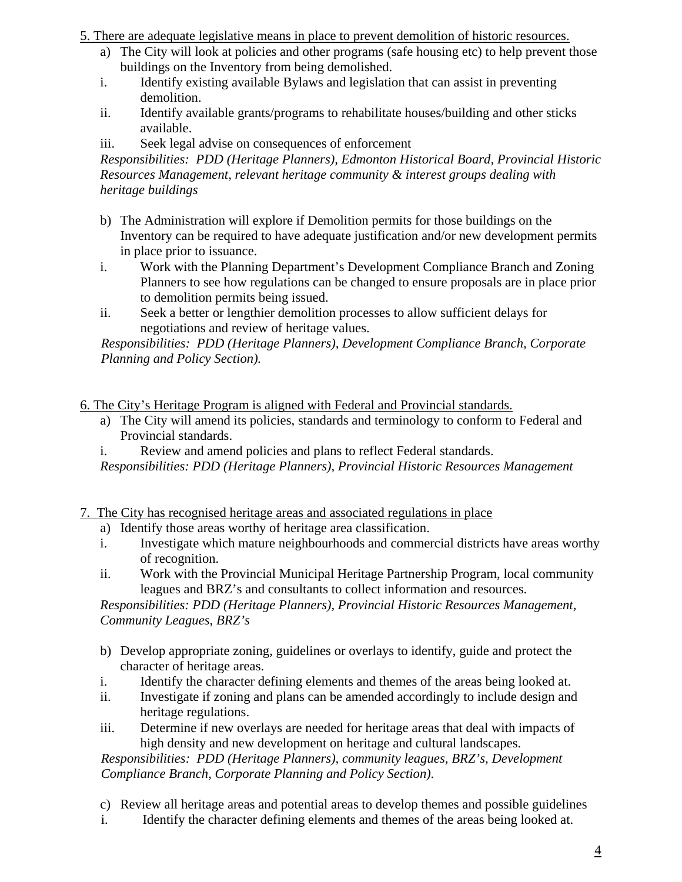5. There are adequate legislative means in place to prevent demolition of historic resources.

- a) The City will look at policies and other programs (safe housing etc) to help prevent those buildings on the Inventory from being demolished.
- i. Identify existing available Bylaws and legislation that can assist in preventing demolition.
- ii. Identify available grants/programs to rehabilitate houses/building and other sticks available.
- iii. Seek legal advise on consequences of enforcement

*Responsibilities: PDD (Heritage Planners), Edmonton Historical Board, Provincial Historic Resources Management, relevant heritage community & interest groups dealing with heritage buildings* 

- b) The Administration will explore if Demolition permits for those buildings on the Inventory can be required to have adequate justification and/or new development permits in place prior to issuance.
- i. Work with the Planning Department's Development Compliance Branch and Zoning Planners to see how regulations can be changed to ensure proposals are in place prior to demolition permits being issued.
- ii. Seek a better or lengthier demolition processes to allow sufficient delays for negotiations and review of heritage values.

*Responsibilities: PDD (Heritage Planners), Development Compliance Branch, Corporate Planning and Policy Section).* 

6. The City's Heritage Program is aligned with Federal and Provincial standards.

- a) The City will amend its policies, standards and terminology to conform to Federal and Provincial standards.
- i. Review and amend policies and plans to reflect Federal standards.

*Responsibilities: PDD (Heritage Planners), Provincial Historic Resources Management* 

7. The City has recognised heritage areas and associated regulations in place

- a) Identify those areas worthy of heritage area classification.
- i. Investigate which mature neighbourhoods and commercial districts have areas worthy of recognition.
- ii. Work with the Provincial Municipal Heritage Partnership Program, local community leagues and BRZ's and consultants to collect information and resources.

*Responsibilities: PDD (Heritage Planners), Provincial Historic Resources Management, Community Leagues, BRZ's* 

- b) Develop appropriate zoning, guidelines or overlays to identify, guide and protect the character of heritage areas.
- i. Identify the character defining elements and themes of the areas being looked at.
- ii. Investigate if zoning and plans can be amended accordingly to include design and heritage regulations.
- iii. Determine if new overlays are needed for heritage areas that deal with impacts of high density and new development on heritage and cultural landscapes.

*Responsibilities: PDD (Heritage Planners), community leagues, BRZ's, Development Compliance Branch, Corporate Planning and Policy Section).* 

- c) Review all heritage areas and potential areas to develop themes and possible guidelines
- i. Identify the character defining elements and themes of the areas being looked at.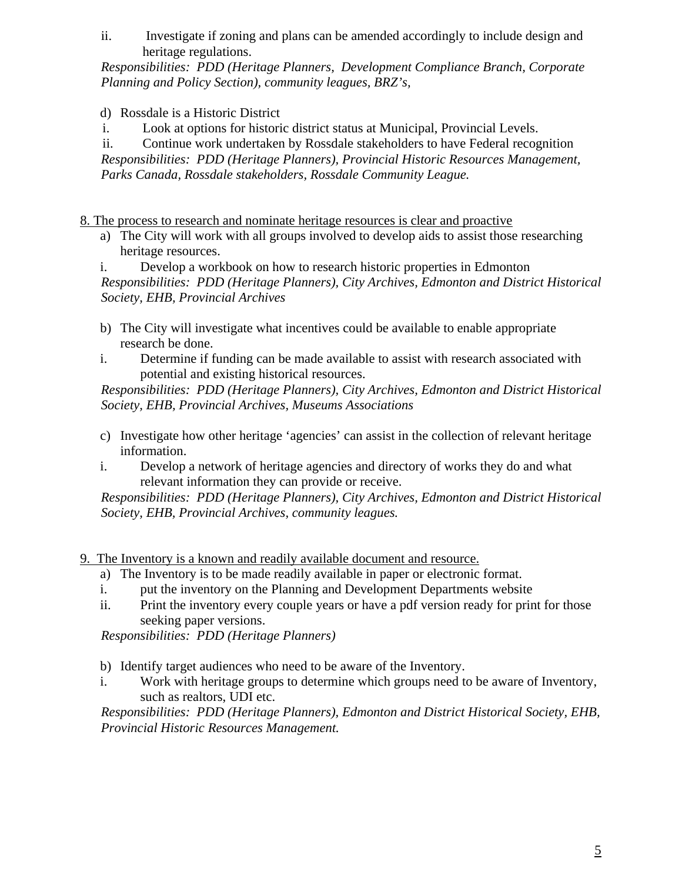ii. Investigate if zoning and plans can be amended accordingly to include design and heritage regulations.

*Responsibilities: PDD (Heritage Planners, Development Compliance Branch, Corporate Planning and Policy Section), community leagues, BRZ's,* 

d) Rossdale is a Historic District

i. Look at options for historic district status at Municipal, Provincial Levels.

ii. Continue work undertaken by Rossdale stakeholders to have Federal recognition *Responsibilities: PDD (Heritage Planners), Provincial Historic Resources Management, Parks Canada, Rossdale stakeholders, Rossdale Community League.* 

8. The process to research and nominate heritage resources is clear and proactive

a) The City will work with all groups involved to develop aids to assist those researching heritage resources.

i. Develop a workbook on how to research historic properties in Edmonton *Responsibilities: PDD (Heritage Planners), City Archives, Edmonton and District Historical Society, EHB, Provincial Archives* 

- b) The City will investigate what incentives could be available to enable appropriate research be done.
- i. Determine if funding can be made available to assist with research associated with potential and existing historical resources.

*Responsibilities: PDD (Heritage Planners), City Archives, Edmonton and District Historical Society, EHB, Provincial Archives, Museums Associations* 

- c) Investigate how other heritage 'agencies' can assist in the collection of relevant heritage information.
- i. Develop a network of heritage agencies and directory of works they do and what relevant information they can provide or receive.

*Responsibilities: PDD (Heritage Planners), City Archives, Edmonton and District Historical Society, EHB, Provincial Archives, community leagues.* 

- 9. The Inventory is a known and readily available document and resource.
	- a) The Inventory is to be made readily available in paper or electronic format.
	- i. put the inventory on the Planning and Development Departments website
	- ii. Print the inventory every couple years or have a pdf version ready for print for those seeking paper versions.

*Responsibilities: PDD (Heritage Planners)* 

- b) Identify target audiences who need to be aware of the Inventory.
- i. Work with heritage groups to determine which groups need to be aware of Inventory, such as realtors, UDI etc.

*Responsibilities: PDD (Heritage Planners), Edmonton and District Historical Society, EHB, Provincial Historic Resources Management.*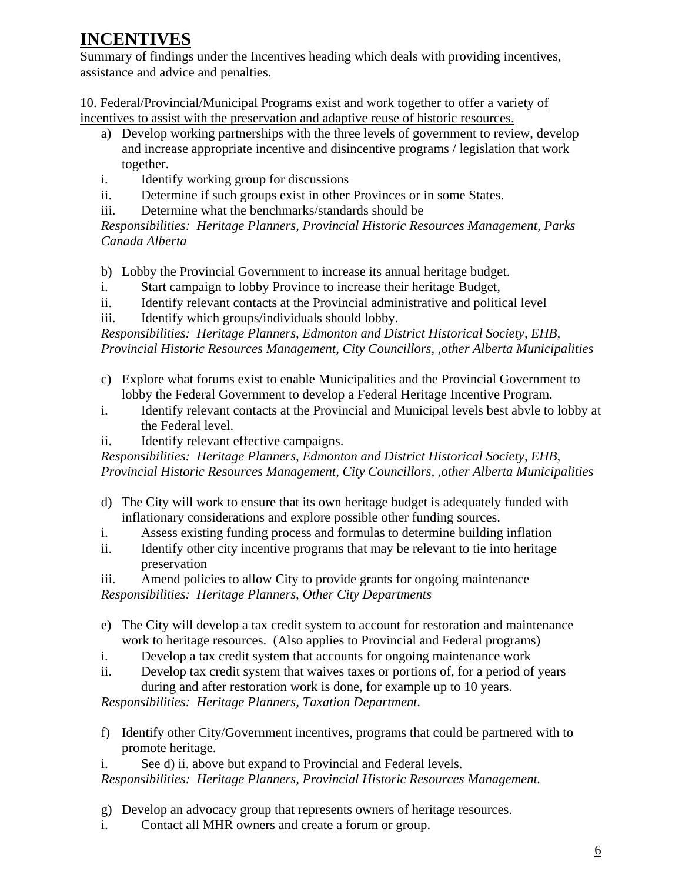## **INCENTIVES**

Summary of findings under the Incentives heading which deals with providing incentives, assistance and advice and penalties.

10. Federal/Provincial/Municipal Programs exist and work together to offer a variety of incentives to assist with the preservation and adaptive reuse of historic resources.

- a) Develop working partnerships with the three levels of government to review, develop and increase appropriate incentive and disincentive programs / legislation that work together.
- i. Identify working group for discussions
- ii. Determine if such groups exist in other Provinces or in some States.
- iii. Determine what the benchmarks/standards should be

*Responsibilities: Heritage Planners, Provincial Historic Resources Management, Parks Canada Alberta* 

b) Lobby the Provincial Government to increase its annual heritage budget.

- i. Start campaign to lobby Province to increase their heritage Budget,
- ii. Identify relevant contacts at the Provincial administrative and political level
- iii. Identify which groups/individuals should lobby.

*Responsibilities: Heritage Planners, Edmonton and District Historical Society, EHB, Provincial Historic Resources Management, City Councillors, ,other Alberta Municipalities* 

- c) Explore what forums exist to enable Municipalities and the Provincial Government to lobby the Federal Government to develop a Federal Heritage Incentive Program.
- i. Identify relevant contacts at the Provincial and Municipal levels best abvle to lobby at the Federal level.
- ii. Identify relevant effective campaigns.

*Responsibilities: Heritage Planners, Edmonton and District Historical Society, EHB, Provincial Historic Resources Management, City Councillors, ,other Alberta Municipalities* 

- d) The City will work to ensure that its own heritage budget is adequately funded with inflationary considerations and explore possible other funding sources.
- i. Assess existing funding process and formulas to determine building inflation
- ii. Identify other city incentive programs that may be relevant to tie into heritage preservation

iii. Amend policies to allow City to provide grants for ongoing maintenance *Responsibilities: Heritage Planners, Other City Departments* 

- e) The City will develop a tax credit system to account for restoration and maintenance work to heritage resources. (Also applies to Provincial and Federal programs)
- i. Develop a tax credit system that accounts for ongoing maintenance work
- ii. Develop tax credit system that waives taxes or portions of, for a period of years during and after restoration work is done, for example up to 10 years.

*Responsibilities: Heritage Planners, Taxation Department.* 

- f) Identify other City/Government incentives, programs that could be partnered with to promote heritage.
- i. See d) ii. above but expand to Provincial and Federal levels.

*Responsibilities: Heritage Planners, Provincial Historic Resources Management.* 

- g) Develop an advocacy group that represents owners of heritage resources.
- i. Contact all MHR owners and create a forum or group.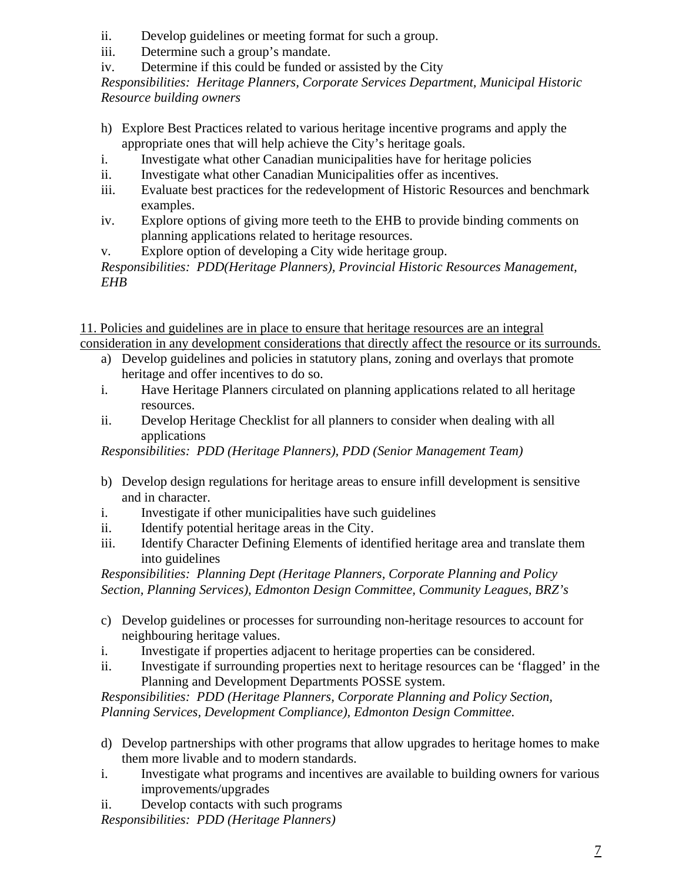- ii. Develop guidelines or meeting format for such a group.
- iii. Determine such a group's mandate.
- iv. Determine if this could be funded or assisted by the City

*Responsibilities: Heritage Planners, Corporate Services Department, Municipal Historic Resource building owners* 

- h) Explore Best Practices related to various heritage incentive programs and apply the appropriate ones that will help achieve the City's heritage goals.
- i. Investigate what other Canadian municipalities have for heritage policies
- ii. Investigate what other Canadian Municipalities offer as incentives.
- iii. Evaluate best practices for the redevelopment of Historic Resources and benchmark examples.
- iv. Explore options of giving more teeth to the EHB to provide binding comments on planning applications related to heritage resources.
- v. Explore option of developing a City wide heritage group.

*Responsibilities: PDD(Heritage Planners), Provincial Historic Resources Management, EHB* 

11. Policies and guidelines are in place to ensure that heritage resources are an integral consideration in any development considerations that directly affect the resource or its surrounds.

- a) Develop guidelines and policies in statutory plans, zoning and overlays that promote heritage and offer incentives to do so.
- i. Have Heritage Planners circulated on planning applications related to all heritage resources.
- ii. Develop Heritage Checklist for all planners to consider when dealing with all applications

*Responsibilities: PDD (Heritage Planners), PDD (Senior Management Team)* 

- b) Develop design regulations for heritage areas to ensure infill development is sensitive and in character.
- i. Investigate if other municipalities have such guidelines
- ii. Identify potential heritage areas in the City.
- iii. Identify Character Defining Elements of identified heritage area and translate them into guidelines

*Responsibilities: Planning Dept (Heritage Planners, Corporate Planning and Policy Section, Planning Services), Edmonton Design Committee, Community Leagues, BRZ's* 

- c) Develop guidelines or processes for surrounding non-heritage resources to account for neighbouring heritage values.
- i. Investigate if properties adjacent to heritage properties can be considered.
- ii. Investigate if surrounding properties next to heritage resources can be 'flagged' in the Planning and Development Departments POSSE system.

*Responsibilities: PDD (Heritage Planners, Corporate Planning and Policy Section, Planning Services, Development Compliance), Edmonton Design Committee.* 

- d) Develop partnerships with other programs that allow upgrades to heritage homes to make them more livable and to modern standards.
- i. Investigate what programs and incentives are available to building owners for various improvements/upgrades
- ii. Develop contacts with such programs

*Responsibilities: PDD (Heritage Planners)*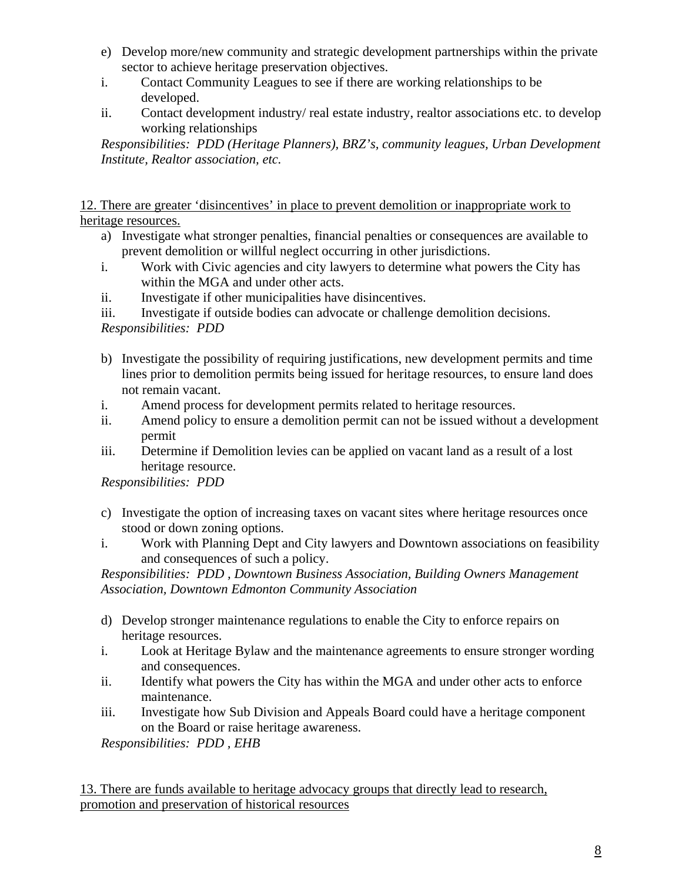- e) Develop more/new community and strategic development partnerships within the private sector to achieve heritage preservation objectives.
- i. Contact Community Leagues to see if there are working relationships to be developed.
- ii. Contact development industry/ real estate industry, realtor associations etc. to develop working relationships

*Responsibilities: PDD (Heritage Planners), BRZ's, community leagues, Urban Development Institute, Realtor association, etc.* 

12. There are greater 'disincentives' in place to prevent demolition or inappropriate work to heritage resources.

- a) Investigate what stronger penalties, financial penalties or consequences are available to prevent demolition or willful neglect occurring in other jurisdictions.
- i. Work with Civic agencies and city lawyers to determine what powers the City has within the MGA and under other acts.
- ii. Investigate if other municipalities have disincentives.

iii. Investigate if outside bodies can advocate or challenge demolition decisions.

*Responsibilities: PDD* 

- b) Investigate the possibility of requiring justifications, new development permits and time lines prior to demolition permits being issued for heritage resources, to ensure land does not remain vacant.
- i. Amend process for development permits related to heritage resources.
- ii. Amend policy to ensure a demolition permit can not be issued without a development permit
- iii. Determine if Demolition levies can be applied on vacant land as a result of a lost heritage resource.

*Responsibilities: PDD* 

- c) Investigate the option of increasing taxes on vacant sites where heritage resources once stood or down zoning options.
- i. Work with Planning Dept and City lawyers and Downtown associations on feasibility and consequences of such a policy.

*Responsibilities: PDD , Downtown Business Association, Building Owners Management Association, Downtown Edmonton Community Association* 

- d) Develop stronger maintenance regulations to enable the City to enforce repairs on heritage resources.
- i. Look at Heritage Bylaw and the maintenance agreements to ensure stronger wording and consequences.
- ii. Identify what powers the City has within the MGA and under other acts to enforce maintenance.
- iii. Investigate how Sub Division and Appeals Board could have a heritage component on the Board or raise heritage awareness.

*Responsibilities: PDD , EHB* 

13. There are funds available to heritage advocacy groups that directly lead to research, promotion and preservation of historical resources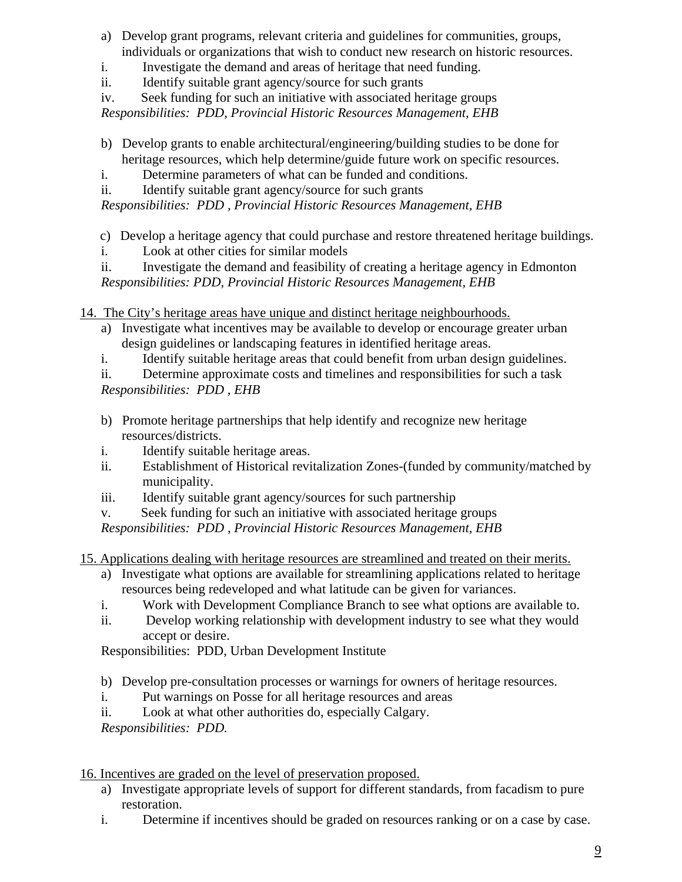- a) Develop grant programs, relevant criteria and guidelines for communities, groups, individuals or organizations that wish to conduct new research on historic resources.
- i. Investigate the demand and areas of heritage that need funding.
- ii. Identify suitable grant agency/source for such grants
- iv. Seek funding for such an initiative with associated heritage groups

*Responsibilities: PDD, Provincial Historic Resources Management, EHB* 

- b) Develop grants to enable architectural/engineering/building studies to be done for heritage resources, which help determine/guide future work on specific resources.
- i. Determine parameters of what can be funded and conditions.
- ii. Identify suitable grant agency/source for such grants

*Responsibilities: PDD , Provincial Historic Resources Management, EHB* 

- c) Develop a heritage agency that could purchase and restore threatened heritage buildings.
- i. Look at other cities for similar models

ii. Investigate the demand and feasibility of creating a heritage agency in Edmonton *Responsibilities: PDD, Provincial Historic Resources Management, EHB* 

- 14. The City's heritage areas have unique and distinct heritage neighbourhoods.
	- a) Investigate what incentives may be available to develop or encourage greater urban design guidelines or landscaping features in identified heritage areas.
	- i. Identify suitable heritage areas that could benefit from urban design guidelines.

ii. Determine approximate costs and timelines and responsibilities for such a task *Responsibilities: PDD , EHB* 

- b) Promote heritage partnerships that help identify and recognize new heritage resources/districts.
- i. Identify suitable heritage areas.
- ii. Establishment of Historical revitalization Zones-(funded by community/matched by municipality.
- iii. Identify suitable grant agency/sources for such partnership
- v. Seek funding for such an initiative with associated heritage groups

*Responsibilities: PDD , Provincial Historic Resources Management, EHB* 

- 15. Applications dealing with heritage resources are streamlined and treated on their merits.
	- a) Investigate what options are available for streamlining applications related to heritage resources being redeveloped and what latitude can be given for variances.
	- i. Work with Development Compliance Branch to see what options are available to.
	- ii. Develop working relationship with development industry to see what they would accept or desire.

Responsibilities: PDD, Urban Development Institute

- b) Develop pre-consultation processes or warnings for owners of heritage resources.
- i. Put warnings on Posse for all heritage resources and areas
- ii. Look at what other authorities do, especially Calgary.

*Responsibilities: PDD.* 

16. Incentives are graded on the level of preservation proposed.

- a) Investigate appropriate levels of support for different standards, from facadism to pure restoration.
- i. Determine if incentives should be graded on resources ranking or on a case by case.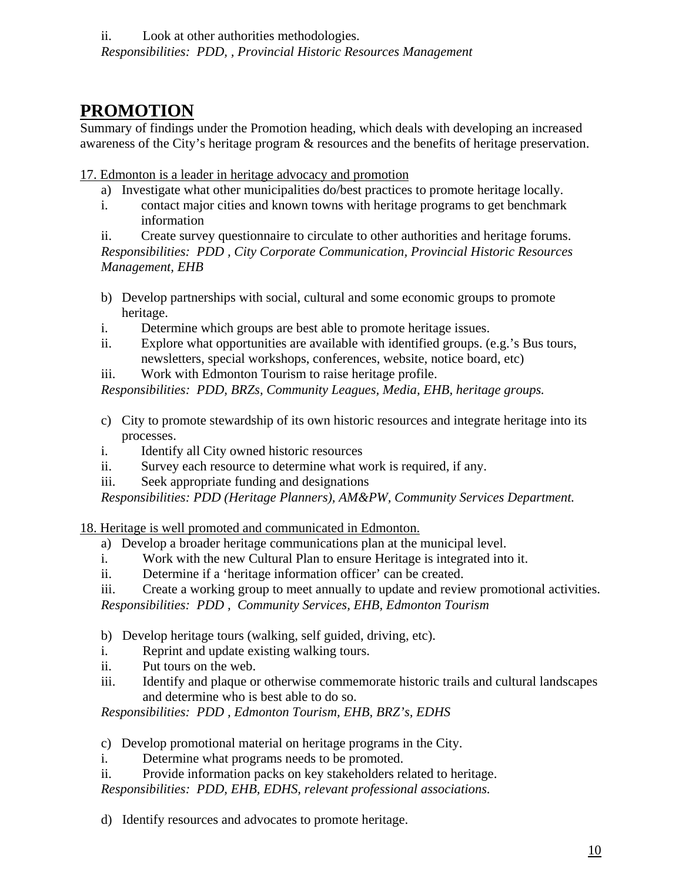### **PROMOTION**

Summary of findings under the Promotion heading, which deals with developing an increased awareness of the City's heritage program & resources and the benefits of heritage preservation.

#### 17. Edmonton is a leader in heritage advocacy and promotion

- a) Investigate what other municipalities do/best practices to promote heritage locally.
- i. contact major cities and known towns with heritage programs to get benchmark information

ii. Create survey questionnaire to circulate to other authorities and heritage forums. *Responsibilities: PDD , City Corporate Communication, Provincial Historic Resources Management, EHB* 

- b) Develop partnerships with social, cultural and some economic groups to promote heritage.
- i. Determine which groups are best able to promote heritage issues.
- ii. Explore what opportunities are available with identified groups. (e.g.'s Bus tours, newsletters, special workshops, conferences, website, notice board, etc)
- iii. Work with Edmonton Tourism to raise heritage profile.

*Responsibilities: PDD, BRZs, Community Leagues, Media, EHB, heritage groups.* 

- c) City to promote stewardship of its own historic resources and integrate heritage into its processes.
- i. Identify all City owned historic resources
- ii. Survey each resource to determine what work is required, if any.
- iii. Seek appropriate funding and designations

*Responsibilities: PDD (Heritage Planners), AM&PW, Community Services Department.* 

18. Heritage is well promoted and communicated in Edmonton.

- a) Develop a broader heritage communications plan at the municipal level.
- i. Work with the new Cultural Plan to ensure Heritage is integrated into it.
- ii. Determine if a 'heritage information officer' can be created.
- iii. Create a working group to meet annually to update and review promotional activities.

*Responsibilities: PDD , Community Services, EHB, Edmonton Tourism* 

- b) Develop heritage tours (walking, self guided, driving, etc).
- i. Reprint and update existing walking tours.
- ii. Put tours on the web.
- iii. Identify and plaque or otherwise commemorate historic trails and cultural landscapes and determine who is best able to do so.

*Responsibilities: PDD , Edmonton Tourism, EHB, BRZ's, EDHS* 

- c) Develop promotional material on heritage programs in the City.
- i. Determine what programs needs to be promoted.
- ii. Provide information packs on key stakeholders related to heritage.

*Responsibilities: PDD, EHB, EDHS, relevant professional associations.* 

d) Identify resources and advocates to promote heritage.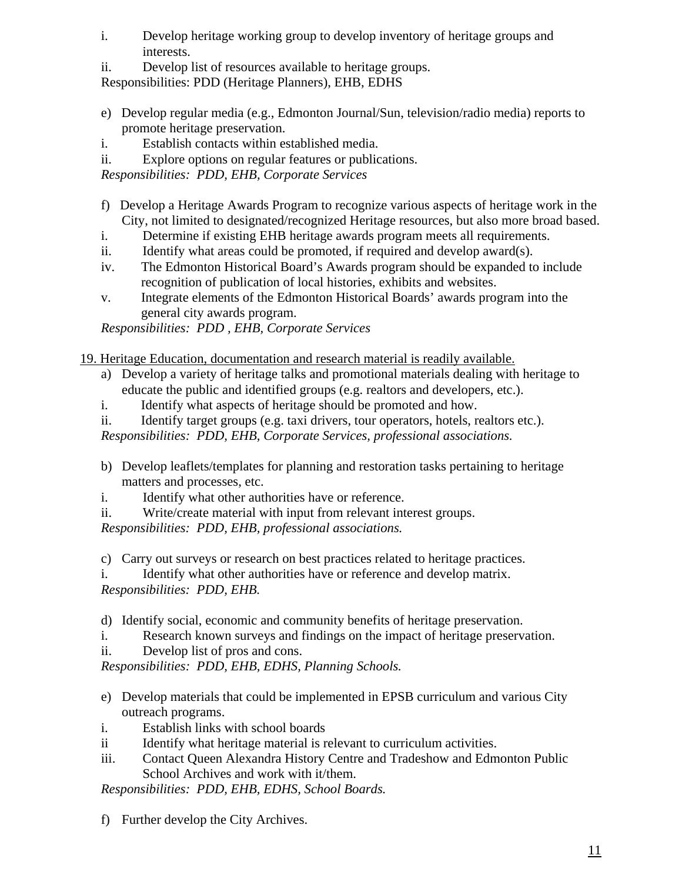- i. Develop heritage working group to develop inventory of heritage groups and interests.
- ii. Develop list of resources available to heritage groups.

Responsibilities: PDD (Heritage Planners), EHB, EDHS

- e) Develop regular media (e.g., Edmonton Journal/Sun, television/radio media) reports to promote heritage preservation.
- i. Establish contacts within established media.
- ii. Explore options on regular features or publications.

*Responsibilities: PDD, EHB, Corporate Services* 

- f) Develop a Heritage Awards Program to recognize various aspects of heritage work in the City, not limited to designated/recognized Heritage resources, but also more broad based.
- i. Determine if existing EHB heritage awards program meets all requirements.
- ii. Identify what areas could be promoted, if required and develop award(s).
- iv. The Edmonton Historical Board's Awards program should be expanded to include recognition of publication of local histories, exhibits and websites.
- v. Integrate elements of the Edmonton Historical Boards' awards program into the general city awards program.

*Responsibilities: PDD , EHB, Corporate Services* 

19. Heritage Education, documentation and research material is readily available.

- a) Develop a variety of heritage talks and promotional materials dealing with heritage to educate the public and identified groups (e.g. realtors and developers, etc.).
- i. Identify what aspects of heritage should be promoted and how.
- ii. Identify target groups (e.g. taxi drivers, tour operators, hotels, realtors etc.).

*Responsibilities: PDD, EHB, Corporate Services, professional associations.* 

- b) Develop leaflets/templates for planning and restoration tasks pertaining to heritage matters and processes, etc.
- i. Identify what other authorities have or reference.
- ii. Write/create material with input from relevant interest groups.

*Responsibilities: PDD, EHB, professional associations.* 

c) Carry out surveys or research on best practices related to heritage practices.

i. Identify what other authorities have or reference and develop matrix. *Responsibilities: PDD, EHB.* 

d) Identify social, economic and community benefits of heritage preservation.

i. Research known surveys and findings on the impact of heritage preservation.

ii. Develop list of pros and cons.

*Responsibilities: PDD, EHB, EDHS, Planning Schools.* 

- e) Develop materials that could be implemented in EPSB curriculum and various City outreach programs.
- i. Establish links with school boards
- ii Identify what heritage material is relevant to curriculum activities.
- iii. Contact Queen Alexandra History Centre and Tradeshow and Edmonton Public School Archives and work with it/them.

*Responsibilities: PDD, EHB, EDHS, School Boards.* 

f) Further develop the City Archives.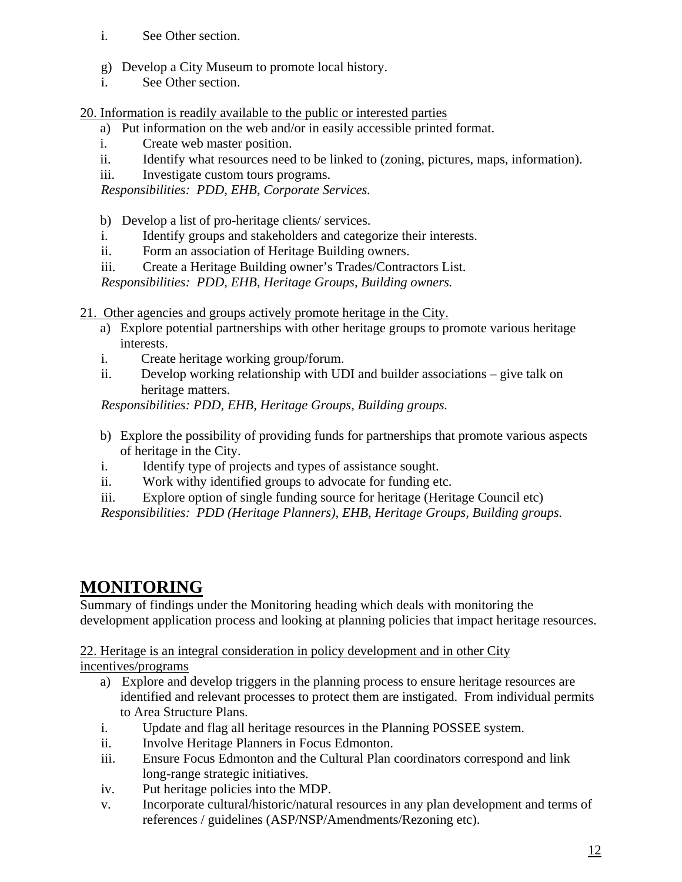- i. See Other section.
- g) Develop a City Museum to promote local history.
- i. See Other section.

20. Information is readily available to the public or interested parties

- a) Put information on the web and/or in easily accessible printed format.
- i. Create web master position.
- ii. Identify what resources need to be linked to (zoning, pictures, maps, information).
- iii. Investigate custom tours programs.

*Responsibilities: PDD, EHB, Corporate Services.* 

- b) Develop a list of pro-heritage clients/ services.
- i. Identify groups and stakeholders and categorize their interests.
- ii. Form an association of Heritage Building owners.
- iii. Create a Heritage Building owner's Trades/Contractors List.

*Responsibilities: PDD, EHB, Heritage Groups, Building owners.* 

- 21. Other agencies and groups actively promote heritage in the City.
	- a) Explore potential partnerships with other heritage groups to promote various heritage interests.
	- i. Create heritage working group/forum.
	- ii. Develop working relationship with UDI and builder associations give talk on heritage matters.

*Responsibilities: PDD, EHB, Heritage Groups, Building groups.* 

- b) Explore the possibility of providing funds for partnerships that promote various aspects of heritage in the City.
- i. Identify type of projects and types of assistance sought.
- ii. Work withy identified groups to advocate for funding etc.
- iii. Explore option of single funding source for heritage (Heritage Council etc)
- *Responsibilities: PDD (Heritage Planners), EHB, Heritage Groups, Building groups.*

### **MONITORING**

Summary of findings under the Monitoring heading which deals with monitoring the development application process and looking at planning policies that impact heritage resources.

22. Heritage is an integral consideration in policy development and in other City

incentives/programs

- a) Explore and develop triggers in the planning process to ensure heritage resources are identified and relevant processes to protect them are instigated. From individual permits to Area Structure Plans.
- i. Update and flag all heritage resources in the Planning POSSEE system.
- ii. Involve Heritage Planners in Focus Edmonton.
- iii. Ensure Focus Edmonton and the Cultural Plan coordinators correspond and link long-range strategic initiatives.
- iv. Put heritage policies into the MDP.
- v. Incorporate cultural/historic/natural resources in any plan development and terms of references / guidelines (ASP/NSP/Amendments/Rezoning etc).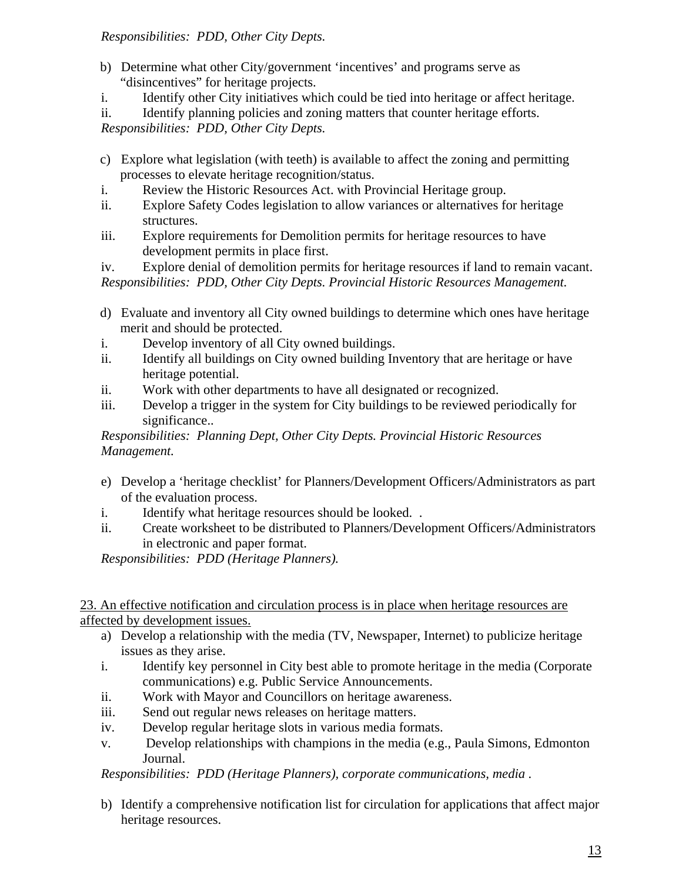#### *Responsibilities: PDD, Other City Depts.*

- b) Determine what other City/government 'incentives' and programs serve as "disincentives" for heritage projects.
- i. Identify other City initiatives which could be tied into heritage or affect heritage.
- ii. Identify planning policies and zoning matters that counter heritage efforts.

*Responsibilities: PDD, Other City Depts.* 

- c) Explore what legislation (with teeth) is available to affect the zoning and permitting processes to elevate heritage recognition/status.
- i. Review the Historic Resources Act. with Provincial Heritage group.
- ii. Explore Safety Codes legislation to allow variances or alternatives for heritage structures.
- iii. Explore requirements for Demolition permits for heritage resources to have development permits in place first.

iv. Explore denial of demolition permits for heritage resources if land to remain vacant. *Responsibilities: PDD, Other City Depts. Provincial Historic Resources Management.* 

- d) Evaluate and inventory all City owned buildings to determine which ones have heritage merit and should be protected.
- i. Develop inventory of all City owned buildings.
- ii. Identify all buildings on City owned building Inventory that are heritage or have heritage potential.
- ii. Work with other departments to have all designated or recognized.
- iii. Develop a trigger in the system for City buildings to be reviewed periodically for significance..

*Responsibilities: Planning Dept, Other City Depts. Provincial Historic Resources Management.* 

- e) Develop a 'heritage checklist' for Planners/Development Officers/Administrators as part of the evaluation process.
- i. Identify what heritage resources should be looked. .
- ii. Create worksheet to be distributed to Planners/Development Officers/Administrators in electronic and paper format.

*Responsibilities: PDD (Heritage Planners).* 

23. An effective notification and circulation process is in place when heritage resources are affected by development issues.

- a) Develop a relationship with the media (TV, Newspaper, Internet) to publicize heritage issues as they arise.
- i. Identify key personnel in City best able to promote heritage in the media (Corporate communications) e.g. Public Service Announcements.
- ii. Work with Mayor and Councillors on heritage awareness.
- iii. Send out regular news releases on heritage matters.
- iv. Develop regular heritage slots in various media formats.
- v. Develop relationships with champions in the media (e.g., Paula Simons, Edmonton Journal.

*Responsibilities: PDD (Heritage Planners), corporate communications, media .* 

b) Identify a comprehensive notification list for circulation for applications that affect major heritage resources.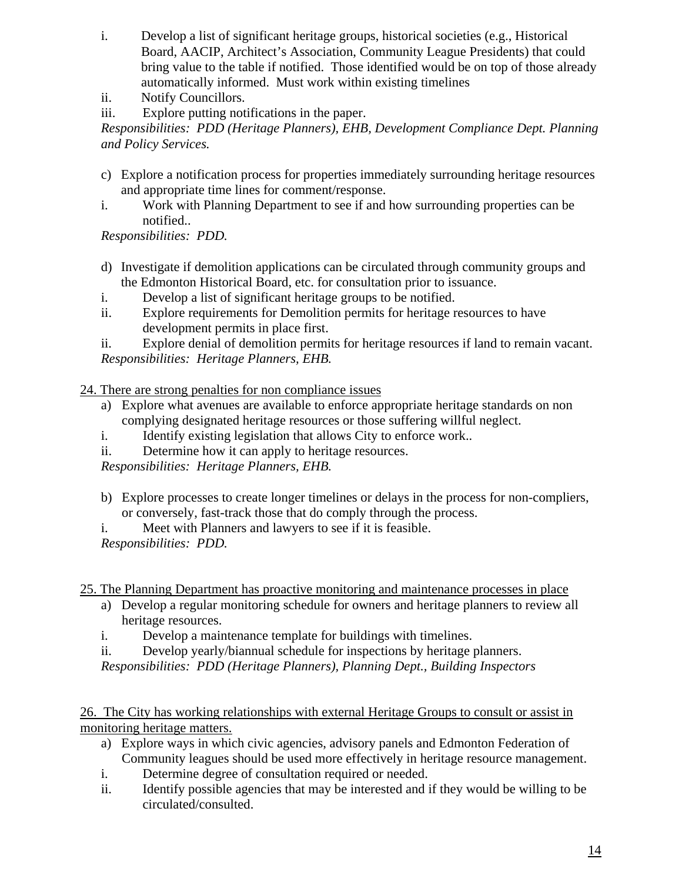- i. Develop a list of significant heritage groups, historical societies (e.g., Historical Board, AACIP, Architect's Association, Community League Presidents) that could bring value to the table if notified. Those identified would be on top of those already automatically informed. Must work within existing timelines
- ii. Notify Councillors.
- iii. Explore putting notifications in the paper.

*Responsibilities: PDD (Heritage Planners), EHB, Development Compliance Dept. Planning and Policy Services.* 

- c) Explore a notification process for properties immediately surrounding heritage resources and appropriate time lines for comment/response.
- i. Work with Planning Department to see if and how surrounding properties can be notified..

*Responsibilities: PDD.* 

- d) Investigate if demolition applications can be circulated through community groups and the Edmonton Historical Board, etc. for consultation prior to issuance.
- i. Develop a list of significant heritage groups to be notified.
- ii. Explore requirements for Demolition permits for heritage resources to have development permits in place first.

ii. Explore denial of demolition permits for heritage resources if land to remain vacant. *Responsibilities: Heritage Planners, EHB.* 

24. There are strong penalties for non compliance issues

- a) Explore what avenues are available to enforce appropriate heritage standards on non complying designated heritage resources or those suffering willful neglect.
- i. Identify existing legislation that allows City to enforce work..
- ii. Determine how it can apply to heritage resources.

*Responsibilities: Heritage Planners, EHB.* 

- b) Explore processes to create longer timelines or delays in the process for non-compliers, or conversely, fast-track those that do comply through the process.
- i. Meet with Planners and lawyers to see if it is feasible.

*Responsibilities: PDD.* 

25. The Planning Department has proactive monitoring and maintenance processes in place

- a) Develop a regular monitoring schedule for owners and heritage planners to review all heritage resources.
- i. Develop a maintenance template for buildings with timelines.
- ii. Develop yearly/biannual schedule for inspections by heritage planners.

*Responsibilities: PDD (Heritage Planners), Planning Dept., Building Inspectors* 

26. The City has working relationships with external Heritage Groups to consult or assist in monitoring heritage matters.

- a) Explore ways in which civic agencies, advisory panels and Edmonton Federation of Community leagues should be used more effectively in heritage resource management.
- i. Determine degree of consultation required or needed.
- ii. Identify possible agencies that may be interested and if they would be willing to be circulated/consulted.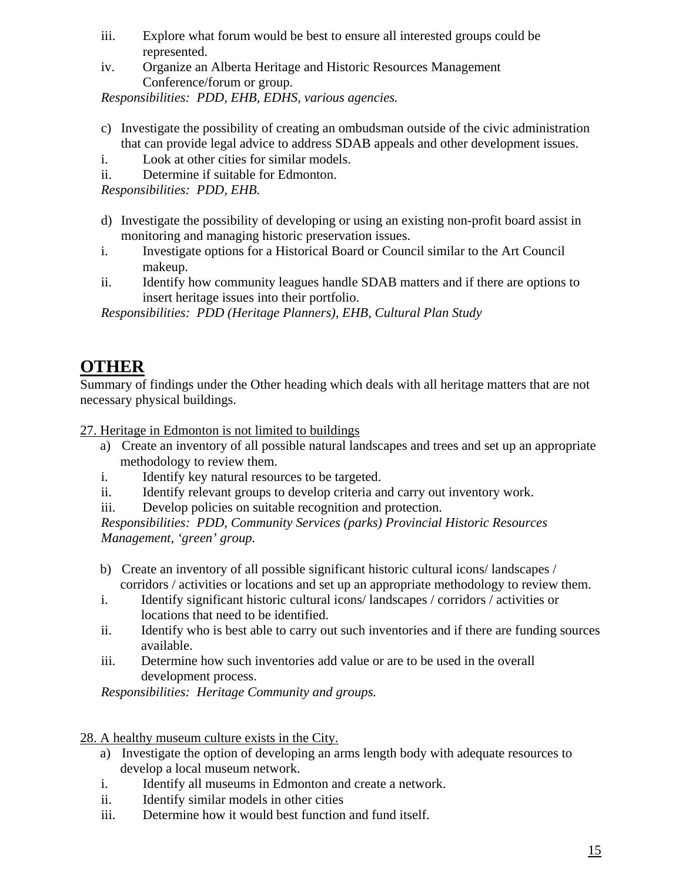- iii. Explore what forum would be best to ensure all interested groups could be represented.
- iv. Organize an Alberta Heritage and Historic Resources Management Conference/forum or group.

*Responsibilities: PDD, EHB, EDHS, various agencies.* 

- c) Investigate the possibility of creating an ombudsman outside of the civic administration that can provide legal advice to address SDAB appeals and other development issues.
- i. Look at other cities for similar models.
- ii. Determine if suitable for Edmonton.

*Responsibilities: PDD, EHB.* 

- d) Investigate the possibility of developing or using an existing non-profit board assist in monitoring and managing historic preservation issues.
- i. Investigate options for a Historical Board or Council similar to the Art Council makeup.
- ii. Identify how community leagues handle SDAB matters and if there are options to insert heritage issues into their portfolio.

*Responsibilities: PDD (Heritage Planners), EHB, Cultural Plan Study* 

### **OTHER**

Summary of findings under the Other heading which deals with all heritage matters that are not necessary physical buildings.

27. Heritage in Edmonton is not limited to buildings

- a) Create an inventory of all possible natural landscapes and trees and set up an appropriate methodology to review them.
- i. Identify key natural resources to be targeted.
- ii. Identify relevant groups to develop criteria and carry out inventory work.
- iii. Develop policies on suitable recognition and protection.

*Responsibilities: PDD, Community Services (parks) Provincial Historic Resources Management, 'green' group.* 

- b) Create an inventory of all possible significant historic cultural icons/ landscapes / corridors / activities or locations and set up an appropriate methodology to review them.
- i. Identify significant historic cultural icons/ landscapes / corridors / activities or locations that need to be identified.
- ii. Identify who is best able to carry out such inventories and if there are funding sources available.
- iii. Determine how such inventories add value or are to be used in the overall development process.

*Responsibilities: Heritage Community and groups.* 

- 28. A healthy museum culture exists in the City.
	- a) Investigate the option of developing an arms length body with adequate resources to develop a local museum network.
	- i. Identify all museums in Edmonton and create a network.
	- ii. Identify similar models in other cities
	- iii. Determine how it would best function and fund itself.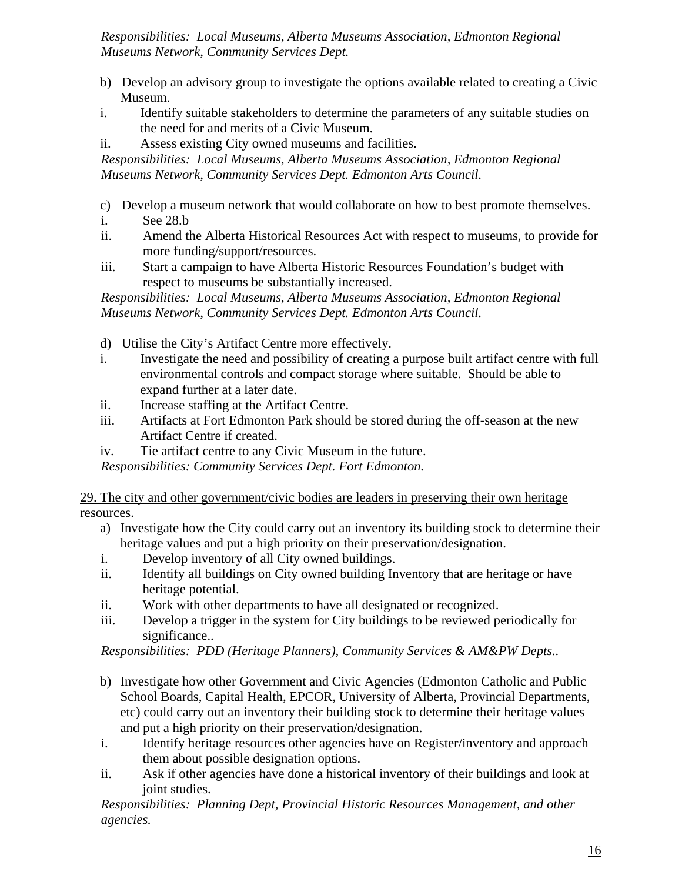*Responsibilities: Local Museums, Alberta Museums Association, Edmonton Regional Museums Network, Community Services Dept.* 

- b) Develop an advisory group to investigate the options available related to creating a Civic Museum.
- i. Identify suitable stakeholders to determine the parameters of any suitable studies on the need for and merits of a Civic Museum.
- ii. Assess existing City owned museums and facilities.

*Responsibilities: Local Museums, Alberta Museums Association, Edmonton Regional Museums Network, Community Services Dept. Edmonton Arts Council.* 

- c) Develop a museum network that would collaborate on how to best promote themselves.
- i. See 28.b
- ii. Amend the Alberta Historical Resources Act with respect to museums, to provide for more funding/support/resources.
- iii. Start a campaign to have Alberta Historic Resources Foundation's budget with respect to museums be substantially increased.

*Responsibilities: Local Museums, Alberta Museums Association, Edmonton Regional Museums Network, Community Services Dept. Edmonton Arts Council.* 

- d) Utilise the City's Artifact Centre more effectively.
- i. Investigate the need and possibility of creating a purpose built artifact centre with full environmental controls and compact storage where suitable. Should be able to expand further at a later date.
- ii. Increase staffing at the Artifact Centre.
- iii. Artifacts at Fort Edmonton Park should be stored during the off-season at the new Artifact Centre if created.
- iv. Tie artifact centre to any Civic Museum in the future.

*Responsibilities: Community Services Dept. Fort Edmonton.* 

29. The city and other government/civic bodies are leaders in preserving their own heritage resources.

- a) Investigate how the City could carry out an inventory its building stock to determine their heritage values and put a high priority on their preservation/designation.
- i. Develop inventory of all City owned buildings.
- ii. Identify all buildings on City owned building Inventory that are heritage or have heritage potential.
- ii. Work with other departments to have all designated or recognized.
- iii. Develop a trigger in the system for City buildings to be reviewed periodically for significance..

*Responsibilities: PDD (Heritage Planners), Community Services & AM&PW Depts..* 

- b) Investigate how other Government and Civic Agencies (Edmonton Catholic and Public School Boards, Capital Health, EPCOR, University of Alberta, Provincial Departments, etc) could carry out an inventory their building stock to determine their heritage values and put a high priority on their preservation/designation.
- i. Identify heritage resources other agencies have on Register/inventory and approach them about possible designation options.
- ii. Ask if other agencies have done a historical inventory of their buildings and look at joint studies.

*Responsibilities: Planning Dept, Provincial Historic Resources Management, and other agencies.*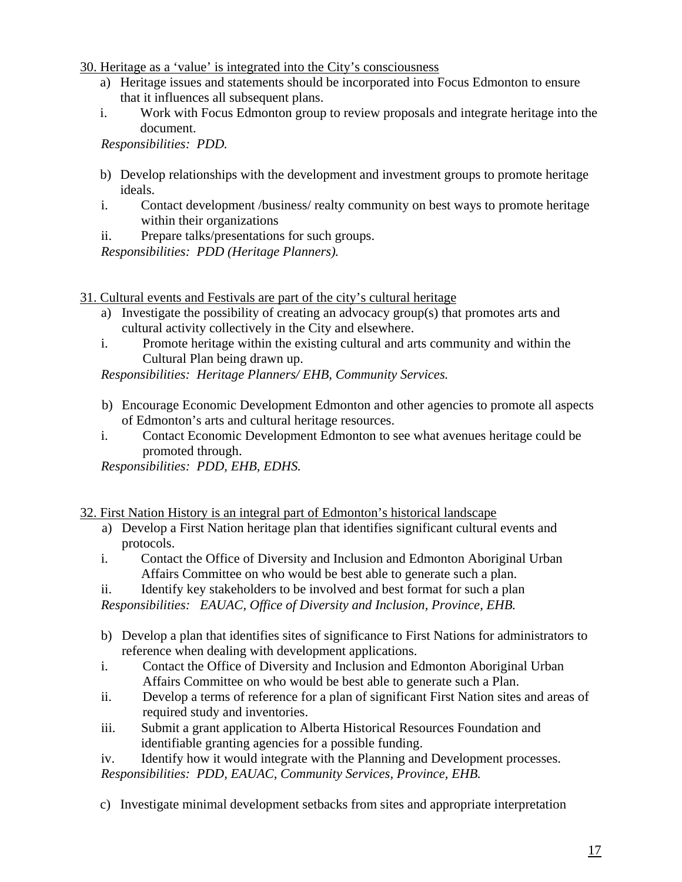30. Heritage as a 'value' is integrated into the City's consciousness

- a) Heritage issues and statements should be incorporated into Focus Edmonton to ensure that it influences all subsequent plans.
- i. Work with Focus Edmonton group to review proposals and integrate heritage into the document.

*Responsibilities: PDD.* 

- b) Develop relationships with the development and investment groups to promote heritage ideals.
- i. Contact development /business/ realty community on best ways to promote heritage within their organizations
- ii. Prepare talks/presentations for such groups.

*Responsibilities: PDD (Heritage Planners).* 

- 31. Cultural events and Festivals are part of the city's cultural heritage
	- a) Investigate the possibility of creating an advocacy group(s) that promotes arts and cultural activity collectively in the City and elsewhere.
	- i. Promote heritage within the existing cultural and arts community and within the Cultural Plan being drawn up.

*Responsibilities: Heritage Planners/ EHB, Community Services.* 

- b) Encourage Economic Development Edmonton and other agencies to promote all aspects of Edmonton's arts and cultural heritage resources.
- i. Contact Economic Development Edmonton to see what avenues heritage could be promoted through.

*Responsibilities: PDD, EHB, EDHS.* 

32. First Nation History is an integral part of Edmonton's historical landscape

- a) Develop a First Nation heritage plan that identifies significant cultural events and protocols.
- i. Contact the Office of Diversity and Inclusion and Edmonton Aboriginal Urban Affairs Committee on who would be best able to generate such a plan.
- ii. Identify key stakeholders to be involved and best format for such a plan

*Responsibilities: EAUAC, Office of Diversity and Inclusion, Province, EHB.* 

- b) Develop a plan that identifies sites of significance to First Nations for administrators to reference when dealing with development applications.
- i. Contact the Office of Diversity and Inclusion and Edmonton Aboriginal Urban Affairs Committee on who would be best able to generate such a Plan.
- ii. Develop a terms of reference for a plan of significant First Nation sites and areas of required study and inventories.
- iii. Submit a grant application to Alberta Historical Resources Foundation and identifiable granting agencies for a possible funding.
- iv. Identify how it would integrate with the Planning and Development processes. *Responsibilities: PDD, EAUAC, Community Services, Province, EHB.*
- c) Investigate minimal development setbacks from sites and appropriate interpretation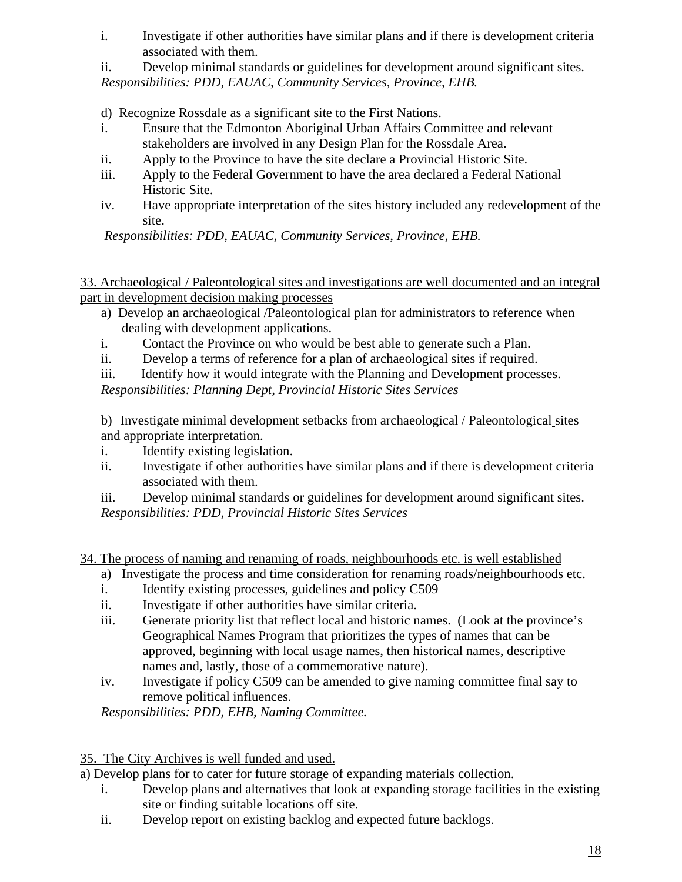i. Investigate if other authorities have similar plans and if there is development criteria associated with them.

ii. Develop minimal standards or guidelines for development around significant sites. *Responsibilities: PDD, EAUAC, Community Services, Province, EHB.* 

d) Recognize Rossdale as a significant site to the First Nations.

- i. Ensure that the Edmonton Aboriginal Urban Affairs Committee and relevant stakeholders are involved in any Design Plan for the Rossdale Area.
- ii. Apply to the Province to have the site declare a Provincial Historic Site.
- iii. Apply to the Federal Government to have the area declared a Federal National Historic Site.
- iv. Have appropriate interpretation of the sites history included any redevelopment of the site.

*Responsibilities: PDD, EAUAC, Community Services, Province, EHB.* 

33. Archaeological / Paleontological sites and investigations are well documented and an integral part in development decision making processes

- a) Develop an archaeological /Paleontological plan for administrators to reference when dealing with development applications.
- i. Contact the Province on who would be best able to generate such a Plan.
- ii. Develop a terms of reference for a plan of archaeological sites if required.
- iii. Identify how it would integrate with the Planning and Development processes.

*Responsibilities: Planning Dept, Provincial Historic Sites Services* 

b) Investigate minimal development setbacks from archaeological / Paleontological sites and appropriate interpretation.

- i. Identify existing legislation.
- ii. Investigate if other authorities have similar plans and if there is development criteria associated with them.
- iii. Develop minimal standards or guidelines for development around significant sites. *Responsibilities: PDD, Provincial Historic Sites Services*
- 34. The process of naming and renaming of roads, neighbourhoods etc. is well established
	- a) Investigate the process and time consideration for renaming roads/neighbourhoods etc.
	- i. Identify existing processes, guidelines and policy C509
	- ii. Investigate if other authorities have similar criteria.
	- iii. Generate priority list that reflect local and historic names. (Look at the province's Geographical Names Program that prioritizes the types of names that can be approved, beginning with local usage names, then historical names, descriptive names and, lastly, those of a commemorative nature).
	- iv. Investigate if policy C509 can be amended to give naming committee final say to remove political influences.

*Responsibilities: PDD, EHB, Naming Committee.* 

### 35. The City Archives is well funded and used.

a) Develop plans for to cater for future storage of expanding materials collection.

- i. Develop plans and alternatives that look at expanding storage facilities in the existing site or finding suitable locations off site.
- ii. Develop report on existing backlog and expected future backlogs.